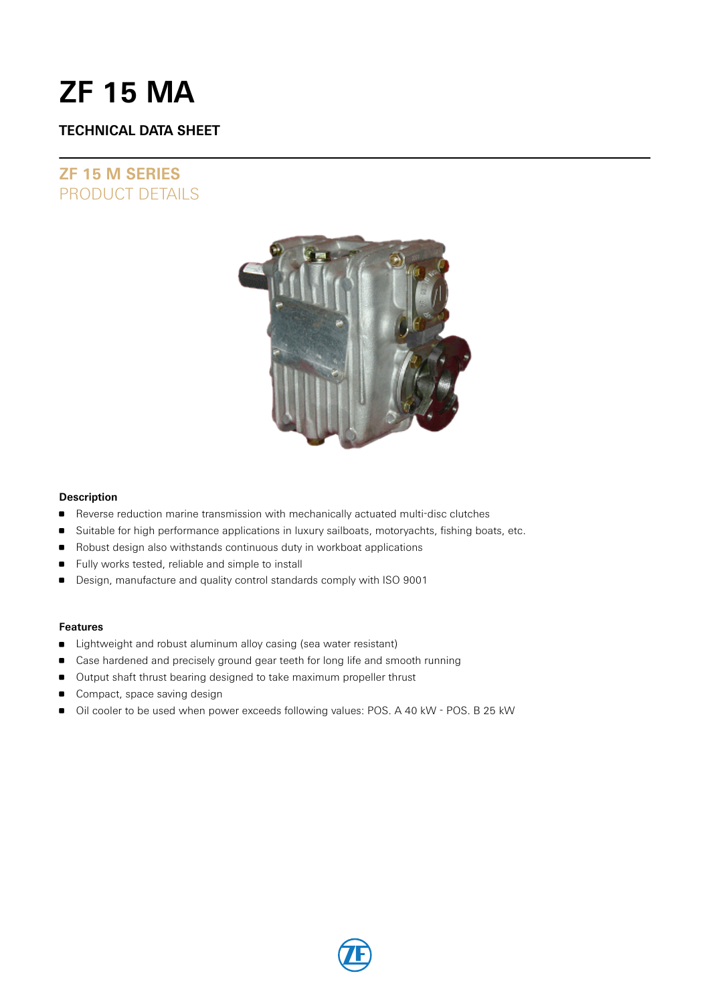# **ZF 15 MA**

### **TECHNICAL DATA SHEET**

## **ZF 15 M SERIES** PRODUCT DETAILS



### **Description**

- Reverse reduction marine transmission with mechanically actuated multi-disc clutches
- **Suitable for high performance applications in luxury sailboats, motoryachts, fishing boats, etc.**
- Robust design also withstands continuous duty in workboat applications
- **Fully works tested, reliable and simple to install**
- **Design, manufacture and quality control standards comply with ISO 9001**

### **Features**

- **D** Lightweight and robust aluminum alloy casing (sea water resistant)
- Case hardened and precisely ground gear teeth for long life and smooth running
- **Output shaft thrust bearing designed to take maximum propeller thrust**
- Compact, space saving design
- Oil cooler to be used when power exceeds following values: POS. A 40 kW POS. B 25 kW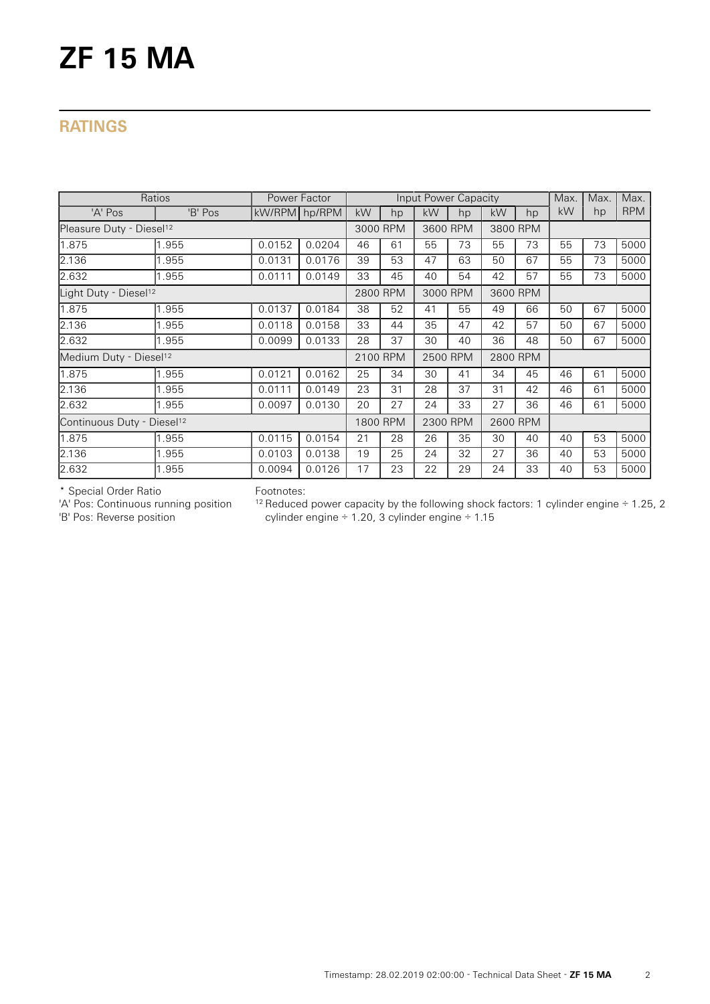# **ZF 15 MA**

## **RATINGS**

| Ratios                                 |         |               | Power Factor |                      |          |          | Input Power Capacity |    |          | Max. | Max. | Max.       |
|----------------------------------------|---------|---------------|--------------|----------------------|----------|----------|----------------------|----|----------|------|------|------------|
| 'A' Pos                                | 'B' Pos | kW/RPM hp/RPM |              | kW                   | hp       | kW       | hp                   | kW | hp       | kW   | hp   | <b>RPM</b> |
| Pleasure Duty - Diesel <sup>12</sup>   |         |               | 3000 RPM     |                      | 3600 RPM |          | 3800 RPM             |    |          |      |      |            |
| 1.875                                  | 1.955   | 0.0152        | 0.0204       | 46                   | 61       | 55       | 73                   | 55 | 73       | 55   | 73   | 5000       |
| 2.136                                  | .955    | 0.0131        | 0.0176       | 39                   | 53       | 47       | 63                   | 50 | 67       | 55   | 73   | 5000       |
| 2.632                                  | .955    | 0.0111        | 0.0149       | 33                   | 45       | 40       | 54                   | 42 | 57       | 55   | 73   | 5000       |
| Light Duty - Diesel <sup>12</sup>      |         |               |              |                      | 2800 RPM | 3000 RPM |                      |    | 3600 RPM |      |      |            |
| 1.875                                  | 1.955   | 0.0137        | 0.0184       | 38                   | 52       | 41       | 55                   | 49 | 66       | 50   | 67   | 5000       |
| 2.136                                  | .955    | 0.0118        | 0.0158       | 33                   | 44       | 35       | 47                   | 42 | 57       | 50   | 67   | 5000       |
| 2.632                                  | 1.955   | 0.0099        | 0.0133       | 28                   | 37       | 30       | 40                   | 36 | 48       | 50   | 67   | 5000       |
| Medium Duty - Diesel <sup>12</sup>     |         |               |              | 2100 RPM<br>2500 RPM |          |          | 2800 RPM             |    |          |      |      |            |
| 1.875                                  | 1.955   | 0.0121        | 0.0162       | 25                   | 34       | 30       | 41                   | 34 | 45       | 46   | 61   | 5000       |
| 2.136                                  | 1.955   | 0.0111        | 0.0149       | 23                   | 31       | 28       | 37                   | 31 | 42       | 46   | 61   | 5000       |
| 2.632                                  | 1.955   | 0.0097        | 0.0130       | 20                   | 27       | 24       | 33                   | 27 | 36       | 46   | 61   | 5000       |
| Continuous Duty - Diesel <sup>12</sup> |         |               |              |                      | 1800 RPM |          | 2300 RPM             |    | 2600 RPM |      |      |            |
| 1.875                                  | 1.955   | 0.0115        | 0.0154       | 21                   | 28       | 26       | 35                   | 30 | 40       | 40   | 53   | 5000       |
| 2.136                                  | .955    | 0.0103        | 0.0138       | 19                   | 25       | 24       | 32                   | 27 | 36       | 40   | 53   | 5000       |
| 2.632                                  | 1.955   | 0.0094        | 0.0126       | 17                   | 23       | 22       | 29                   | 24 | 33       | 40   | 53   | 5000       |

\* Special Order Ratio

Footnotes:

<sup>12</sup> Reduced power capacity by the following shock factors: 1 cylinder engine  $\div$  1.25, 2 cylinder engine ÷ 1.20, 3 cylinder engine ÷ 1.15

'A' Pos: Continuous running position

'B' Pos: Reverse position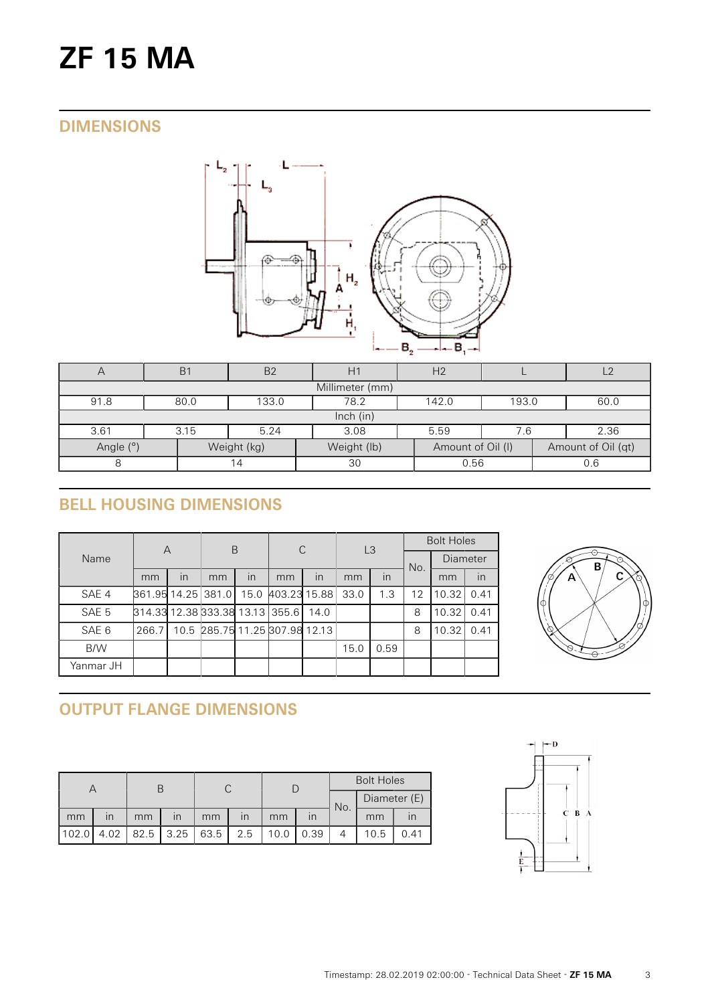# **ZF 15 MA**

## **DIMENSIONS**



| $\sqrt{}$                | B <sub>1</sub>                                  | <b>B2</b>   |                   | H <sub>2</sub> |                    |      |  |  |  |  |  |
|--------------------------|-------------------------------------------------|-------------|-------------------|----------------|--------------------|------|--|--|--|--|--|
| Millimeter (mm)          |                                                 |             |                   |                |                    |      |  |  |  |  |  |
| 91.8                     | 133.0<br>78.2<br>142.0<br>193.0<br>80.0<br>60.0 |             |                   |                |                    |      |  |  |  |  |  |
| lnch (in)                |                                                 |             |                   |                |                    |      |  |  |  |  |  |
| 3.61                     | 3.15                                            | 5.24        | 3.08              | 5.59           | 7.6                | 2.36 |  |  |  |  |  |
| Angle (°)<br>Weight (kg) |                                                 | Weight (lb) | Amount of Oil (I) |                | Amount of Oil (qt) |      |  |  |  |  |  |
| Χ                        |                                                 | 14          | 30                | 0.56           |                    | 0.6  |  |  |  |  |  |

# **BELL HOUSING DIMENSIONS**

| Name             | A                               |    | B                              |      | C            |      | L <sub>3</sub> |      | <b>Bolt Holes</b> |                 |      |
|------------------|---------------------------------|----|--------------------------------|------|--------------|------|----------------|------|-------------------|-----------------|------|
|                  |                                 |    |                                |      |              |      |                |      | No.               | <b>Diameter</b> |      |
|                  | mm                              | in | mm                             | in   | mm           | in   | mm             | in   |                   | mm              | in   |
| SAE 4            | 861.95 14.25 381.0              |    |                                | 15.0 | 403.23 15.88 |      | 33.0           | 1.3  | 12                | 10.32           | 0.41 |
| SAE 5            | 814.33 12.38 333.38 13.13 355.6 |    |                                |      |              | 14.0 |                |      | 8                 | 10.32           | 0.41 |
| SAE <sub>6</sub> | 266.7                           |    | 10.5 285.75 11.25 307.98 12.13 |      |              |      |                |      | 8                 | 10.32           | 0.41 |
| B/W              |                                 |    |                                |      |              |      | 15.0           | 0.59 |                   |                 |      |
| Yanmar JH        |                                 |    |                                |      |              |      |                |      |                   |                 |      |



# **OUTPUT FLANGE DIMENSIONS**

|       |      |    |                         |    |                         |      |      | <b>Bolt Holes</b>   |      |      |  |
|-------|------|----|-------------------------|----|-------------------------|------|------|---------------------|------|------|--|
|       |      |    |                         |    |                         |      |      | Diameter (E)<br>No. |      |      |  |
| mm    | ın   | mm | $\overline{\mathsf{I}}$ | mm | $\overline{\mathsf{I}}$ | mm   |      |                     | mm   |      |  |
| 102.0 | 4.02 |    | $82.5$   3.25   63.5    |    | 2.5                     | 10.0 | 0.39 |                     | 10.5 | 0.41 |  |